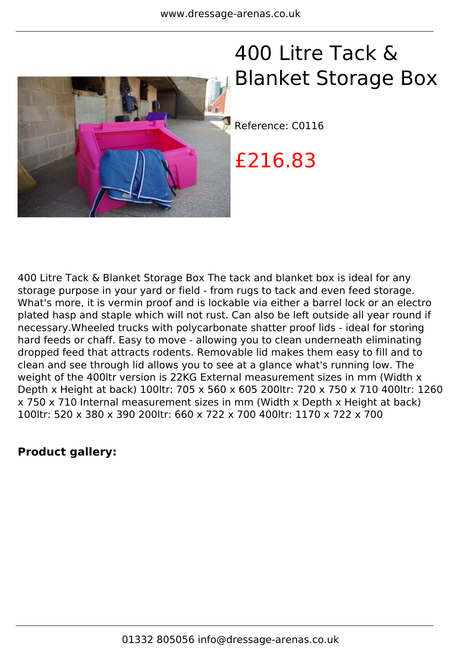

## 400 Litre Tack & Blanket Storage Box

Reference: C0116

£216.83

400 Litre Tack & Blanket Storage Box The tack and blanket box is ideal for any storage purpose in your yard or field - from rugs to tack and even feed storage. What's more, it is vermin proof and is lockable via either a barrel lock or an electro plated hasp and staple which will not rust. Can also be left outside all year round if necessary.Wheeled trucks with polycarbonate shatter proof lids - ideal for storing hard feeds or chaff. Easy to move - allowing you to clean underneath eliminating dropped feed that attracts rodents. Removable lid makes them easy to fill and to clean and see through lid allows you to see at a glance what's running low. The weight of the 400ltr version is 22KG External measurement sizes in mm (Width x Depth x Height at back) 100ltr: 705 x 560 x 605 200ltr: 720 x 750 x 710 400ltr: 1260 x 750 x 710 Internal measurement sizes in mm (Width x Depth x Height at back) 100ltr: 520 x 380 x 390 200ltr: 660 x 722 x 700 400ltr: 1170 x 722 x 700

## **Product gallery:**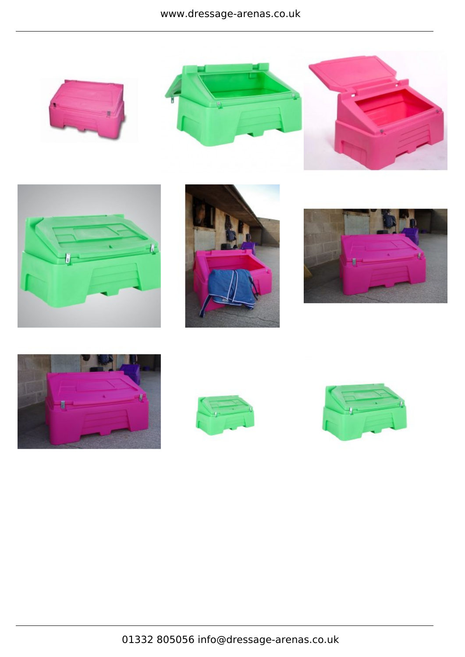